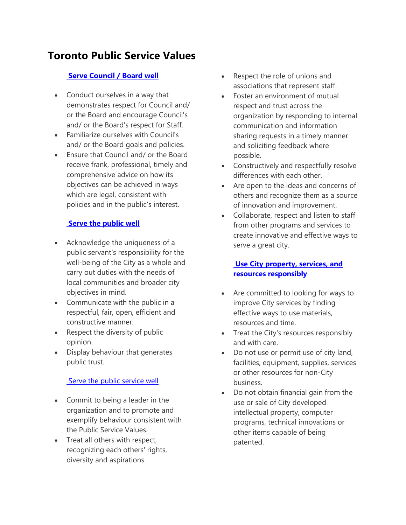# **Toronto Public Service Values**

# **[Serve Council /](http://www1.toronto.ca/wps/portal/contentonly?vgnextoid=5d1b1ead0360d410VgnVCM10000071d60f89RCRD#collapse1-3796f3d720ccf410VgnVCM10000071d60f89____) Board well**

- Conduct ourselves in a way that demonstrates respect for Council and/ or the Board and encourage Council's and/ or the Board's respect for Staff.
- Familiarize ourselves with Council's and/ or the Board goals and policies.
- Ensure that Council and/ or the Board receive frank, professional, timely and comprehensive advice on how its objectives can be achieved in ways which are legal, consistent with policies and in the public's interest.

# **[Serve the public well](http://www1.toronto.ca/wps/portal/contentonly?vgnextoid=5d1b1ead0360d410VgnVCM10000071d60f89RCRD#collapse2-3796f3d720ccf410VgnVCM10000071d60f89____)**

- Acknowledge the uniqueness of a public servant's responsibility for the well-being of the City as a whole and carry out duties with the needs of local communities and broader city objectives in mind.
- Communicate with the public in a respectful, fair, open, efficient and constructive manner.
- Respect the diversity of public opinion.
- Display behaviour that generates public trust.

#### [Serve the public service well](http://www1.toronto.ca/wps/portal/contentonly?vgnextoid=5d1b1ead0360d410VgnVCM10000071d60f89RCRD#collapse3-3796f3d720ccf410VgnVCM10000071d60f89____)

- Commit to being a leader in the organization and to promote and exemplify behaviour consistent with the Public Service Values.
- Treat all others with respect, recognizing each others' rights, diversity and aspirations.
- Respect the role of unions and associations that represent staff.
- Foster an environment of mutual respect and trust across the organization by responding to internal communication and information sharing requests in a timely manner and soliciting feedback where possible.
- Constructively and respectfully resolve differences with each other.
- Are open to the ideas and concerns of others and recognize them as a source of innovation and improvement.
- Collaborate, respect and listen to staff from other programs and services to create innovative and effective ways to serve a great city.

# **[Use City property, services, and](http://www1.toronto.ca/wps/portal/contentonly?vgnextoid=5d1b1ead0360d410VgnVCM10000071d60f89RCRD#collapse4-3796f3d720ccf410VgnVCM10000071d60f89____)  [resources responsibly](http://www1.toronto.ca/wps/portal/contentonly?vgnextoid=5d1b1ead0360d410VgnVCM10000071d60f89RCRD#collapse4-3796f3d720ccf410VgnVCM10000071d60f89____)**

- Are committed to looking for ways to improve City services by finding effective ways to use materials, resources and time.
- Treat the City's resources responsibly and with care.
- Do not use or permit use of city land, facilities, equipment, supplies, services or other resources for non-City business.
- Do not obtain financial gain from the use or sale of City developed intellectual property, computer programs, technical innovations or other items capable of being patented.